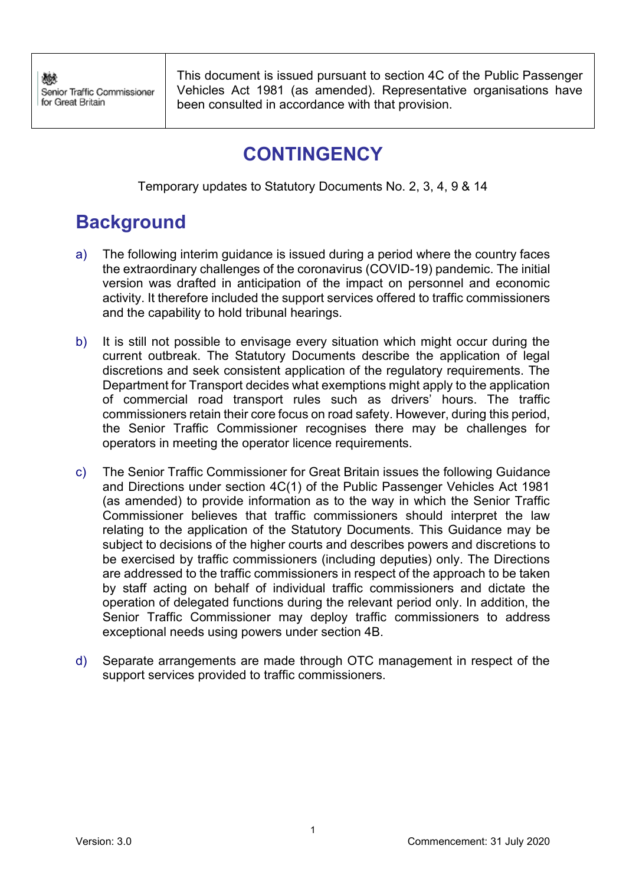This document is issued pursuant to section 4C of the Public Passenger Vehicles Act 1981 (as amended). Representative organisations have been consulted in accordance with that provision.

# **CONTINGENCY**

Temporary updates to Statutory Documents No. 2, 3, 4, 9 & 14

# **Background**

- a) The following interim guidance is issued during a period where the country faces the extraordinary challenges of the coronavirus (COVID-19) pandemic. The initial version was drafted in anticipation of the impact on personnel and economic activity. It therefore included the support services offered to traffic commissioners and the capability to hold tribunal hearings.
- b) It is still not possible to envisage every situation which might occur during the current outbreak. The Statutory Documents describe the application of legal discretions and seek consistent application of the regulatory requirements. The Department for Transport decides what exemptions might apply to the application of commercial road transport rules such as drivers' hours. The traffic commissioners retain their core focus on road safety. However, during this period, the Senior Traffic Commissioner recognises there may be challenges for operators in meeting the operator licence requirements.
- c) The Senior Traffic Commissioner for Great Britain issues the following Guidance and Directions under section 4C(1) of the Public Passenger Vehicles Act 1981 (as amended) to provide information as to the way in which the Senior Traffic Commissioner believes that traffic commissioners should interpret the law relating to the application of the Statutory Documents. This Guidance may be subject to decisions of the higher courts and describes powers and discretions to be exercised by traffic commissioners (including deputies) only. The Directions are addressed to the traffic commissioners in respect of the approach to be taken by staff acting on behalf of individual traffic commissioners and dictate the operation of delegated functions during the relevant period only. In addition, the Senior Traffic Commissioner may deploy traffic commissioners to address exceptional needs using powers under section 4B.
- d) Separate arrangements are made through OTC management in respect of the support services provided to traffic commissioners.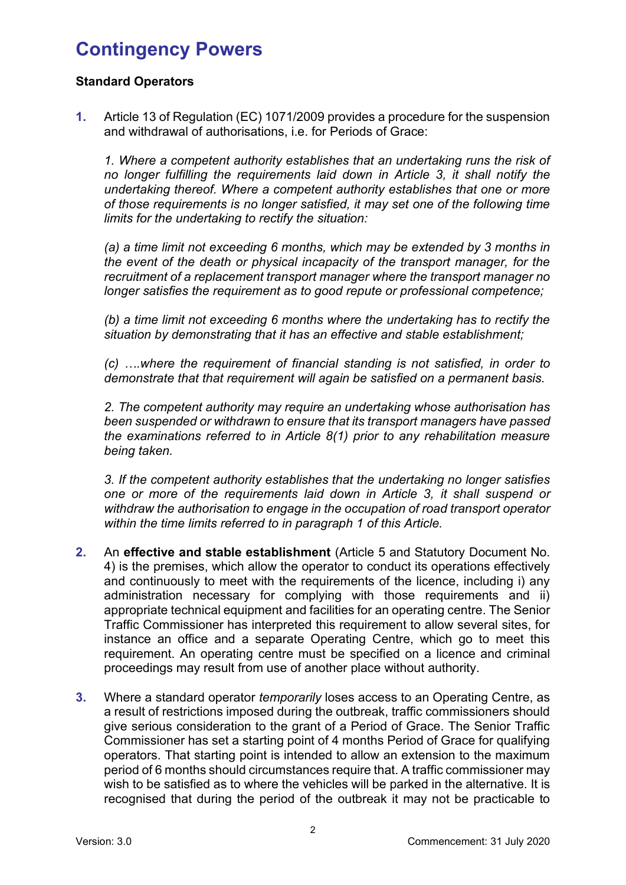# **Contingency Powers**

# **Standard Operators**

**1.** Article 13 of Regulation (EC) 1071/2009 provides a procedure for the suspension and withdrawal of authorisations, i.e. for Periods of Grace:

*1. Where a competent authority establishes that an undertaking runs the risk of no longer fulfilling the requirements laid down in Article 3, it shall notify the undertaking thereof. Where a competent authority establishes that one or more of those requirements is no longer satisfied, it may set one of the following time limits for the undertaking to rectify the situation:* 

*(a) a time limit not exceeding 6 months, which may be extended by 3 months in the event of the death or physical incapacity of the transport manager, for the recruitment of a replacement transport manager where the transport manager no longer satisfies the requirement as to good repute or professional competence;*

*(b) a time limit not exceeding 6 months where the undertaking has to rectify the situation by demonstrating that it has an effective and stable establishment;*

*(c) ….where the requirement of financial standing is not satisfied, in order to demonstrate that that requirement will again be satisfied on a permanent basis.* 

*2. The competent authority may require an undertaking whose authorisation has been suspended or withdrawn to ensure that its transport managers have passed the examinations referred to in Article 8(1) prior to any rehabilitation measure being taken.* 

*3. If the competent authority establishes that the undertaking no longer satisfies one or more of the requirements laid down in Article 3, it shall suspend or withdraw the authorisation to engage in the occupation of road transport operator within the time limits referred to in paragraph 1 of this Article.*

- **2.** An **effective and stable establishment** (Article 5 and Statutory Document No. 4) is the premises, which allow the operator to conduct its operations effectively and continuously to meet with the requirements of the licence, including i) any administration necessary for complying with those requirements and ii) appropriate technical equipment and facilities for an operating centre. The Senior Traffic Commissioner has interpreted this requirement to allow several sites, for instance an office and a separate Operating Centre, which go to meet this requirement. An operating centre must be specified on a licence and criminal proceedings may result from use of another place without authority.
- **3.** Where a standard operator *temporarily* loses access to an Operating Centre, as a result of restrictions imposed during the outbreak, traffic commissioners should give serious consideration to the grant of a Period of Grace. The Senior Traffic Commissioner has set a starting point of 4 months Period of Grace for qualifying operators. That starting point is intended to allow an extension to the maximum period of 6 months should circumstances require that. A traffic commissioner may wish to be satisfied as to where the vehicles will be parked in the alternative. It is recognised that during the period of the outbreak it may not be practicable to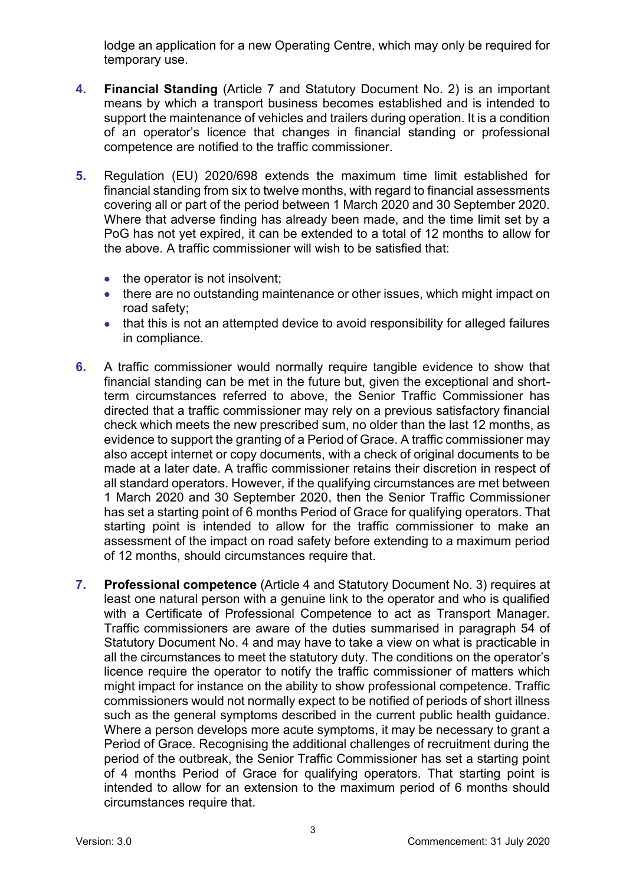lodge an application for a new Operating Centre, which may only be required for temporary use.

- **4. Financial Standing** (Article 7 and Statutory Document No. 2) is an important means by which a transport business becomes established and is intended to support the maintenance of vehicles and trailers during operation. It is a condition of an operator's licence that changes in financial standing or professional competence are notified to the traffic commissioner.
- **5.** Regulation (EU) 2020/698 extends the maximum time limit established for financial standing from six to twelve months, with regard to financial assessments covering all or part of the period between 1 March 2020 and 30 September 2020. Where that adverse finding has already been made, and the time limit set by a PoG has not yet expired, it can be extended to a total of 12 months to allow for the above. A traffic commissioner will wish to be satisfied that:
	- the operator is not insolvent;
	- there are no outstanding maintenance or other issues, which might impact on road safety;
	- that this is not an attempted device to avoid responsibility for alleged failures in compliance.
- **6.** A traffic commissioner would normally require tangible evidence to show that financial standing can be met in the future but, given the exceptional and shortterm circumstances referred to above, the Senior Traffic Commissioner has directed that a traffic commissioner may rely on a previous satisfactory financial check which meets the new prescribed sum, no older than the last 12 months, as evidence to support the granting of a Period of Grace. A traffic commissioner may also accept internet or copy documents, with a check of original documents to be made at a later date. A traffic commissioner retains their discretion in respect of all standard operators. However, if the qualifying circumstances are met between 1 March 2020 and 30 September 2020, then the Senior Traffic Commissioner has set a starting point of 6 months Period of Grace for qualifying operators. That starting point is intended to allow for the traffic commissioner to make an assessment of the impact on road safety before extending to a maximum period of 12 months, should circumstances require that.
- **7. Professional competence** (Article 4 and Statutory Document No. 3) requires at least one natural person with a genuine link to the operator and who is qualified with a Certificate of Professional Competence to act as Transport Manager. Traffic commissioners are aware of the duties summarised in paragraph 54 of Statutory Document No. 4 and may have to take a view on what is practicable in all the circumstances to meet the statutory duty. The conditions on the operator's licence require the operator to notify the traffic commissioner of matters which might impact for instance on the ability to show professional competence. Traffic commissioners would not normally expect to be notified of periods of short illness such as the general symptoms described in the current public health guidance. Where a person develops more acute symptoms, it may be necessary to grant a Period of Grace. Recognising the additional challenges of recruitment during the period of the outbreak, the Senior Traffic Commissioner has set a starting point of 4 months Period of Grace for qualifying operators. That starting point is intended to allow for an extension to the maximum period of 6 months should circumstances require that.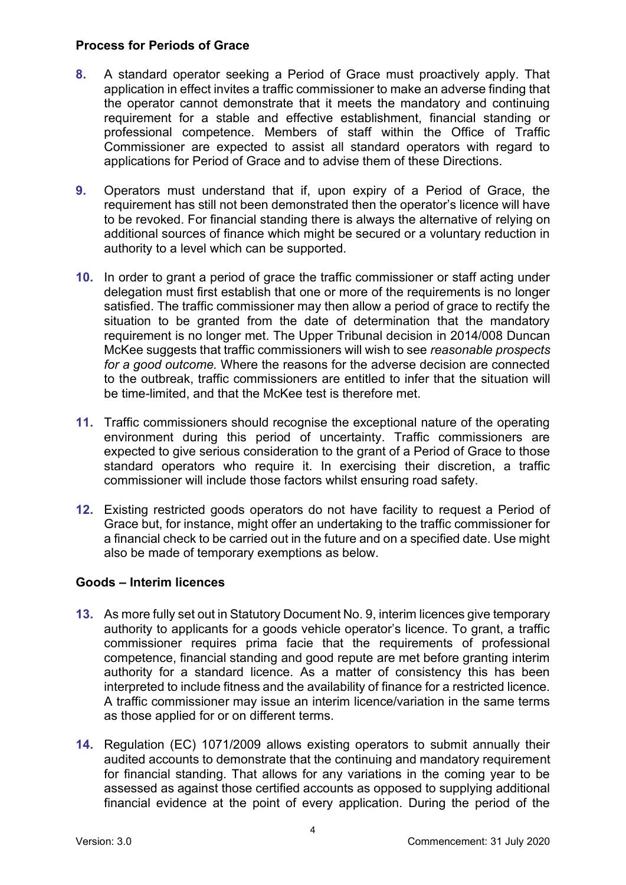#### **Process for Periods of Grace**

- **8.** A standard operator seeking a Period of Grace must proactively apply. That application in effect invites a traffic commissioner to make an adverse finding that the operator cannot demonstrate that it meets the mandatory and continuing requirement for a stable and effective establishment, financial standing or professional competence. Members of staff within the Office of Traffic Commissioner are expected to assist all standard operators with regard to applications for Period of Grace and to advise them of these Directions.
- **9.** Operators must understand that if, upon expiry of a Period of Grace, the requirement has still not been demonstrated then the operator's licence will have to be revoked. For financial standing there is always the alternative of relying on additional sources of finance which might be secured or a voluntary reduction in authority to a level which can be supported.
- **10.** In order to grant a period of grace the traffic commissioner or staff acting under delegation must first establish that one or more of the requirements is no longer satisfied. The traffic commissioner may then allow a period of grace to rectify the situation to be granted from the date of determination that the mandatory requirement is no longer met. The Upper Tribunal decision in 2014/008 Duncan McKee suggests that traffic commissioners will wish to see *reasonable prospects for a good outcome.* Where the reasons for the adverse decision are connected to the outbreak, traffic commissioners are entitled to infer that the situation will be time-limited, and that the McKee test is therefore met.
- **11.** Traffic commissioners should recognise the exceptional nature of the operating environment during this period of uncertainty. Traffic commissioners are expected to give serious consideration to the grant of a Period of Grace to those standard operators who require it. In exercising their discretion, a traffic commissioner will include those factors whilst ensuring road safety.
- **12.** Existing restricted goods operators do not have facility to request a Period of Grace but, for instance, might offer an undertaking to the traffic commissioner for a financial check to be carried out in the future and on a specified date. Use might also be made of temporary exemptions as below.

# **Goods – Interim licences**

- **13.** As more fully set out in Statutory Document No. 9, interim licences give temporary authority to applicants for a goods vehicle operator's licence. To grant, a traffic commissioner requires prima facie that the requirements of professional competence, financial standing and good repute are met before granting interim authority for a standard licence. As a matter of consistency this has been interpreted to include fitness and the availability of finance for a restricted licence. A traffic commissioner may issue an interim licence/variation in the same terms as those applied for or on different terms.
- **14.** Regulation (EC) 1071/2009 allows existing operators to submit annually their audited accounts to demonstrate that the continuing and mandatory requirement for financial standing. That allows for any variations in the coming year to be assessed as against those certified accounts as opposed to supplying additional financial evidence at the point of every application. During the period of the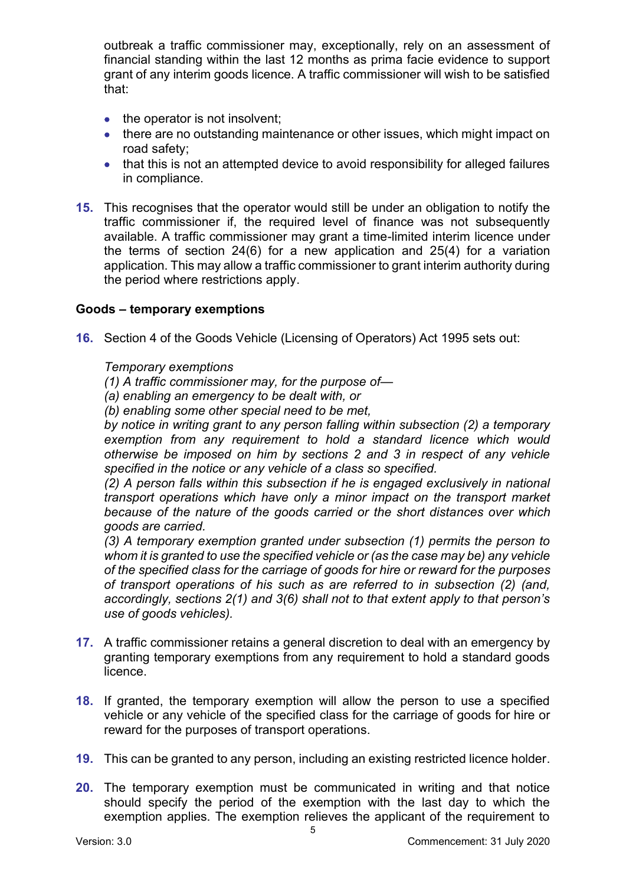outbreak a traffic commissioner may, exceptionally, rely on an assessment of financial standing within the last 12 months as prima facie evidence to support grant of any interim goods licence. A traffic commissioner will wish to be satisfied that:

- the operator is not insolvent;
- there are no outstanding maintenance or other issues, which might impact on road safety;
- that this is not an attempted device to avoid responsibility for alleged failures in compliance.
- **15.** This recognises that the operator would still be under an obligation to notify the traffic commissioner if, the required level of finance was not subsequently available. A traffic commissioner may grant a time-limited interim licence under the terms of section 24(6) for a new application and 25(4) for a variation application. This may allow a traffic commissioner to grant interim authority during the period where restrictions apply.

#### **Goods – temporary exemptions**

**16.** Section 4 of the Goods Vehicle (Licensing of Operators) Act 1995 sets out:

#### *Temporary exemptions*

- *(1) A traffic commissioner may, for the purpose of—*
- *(a) enabling an emergency to be dealt with, or*
- *(b) enabling some other special need to be met,*

*by notice in writing grant to any person falling within subsection (2) a temporary exemption from any requirement to hold a standard licence which would otherwise be imposed on him by sections 2 and 3 in respect of any vehicle specified in the notice or any vehicle of a class so specified.* 

*(2) A person falls within this subsection if he is engaged exclusively in national transport operations which have only a minor impact on the transport market because of the nature of the goods carried or the short distances over which goods are carried.* 

*(3) A temporary exemption granted under subsection (1) permits the person to whom it is granted to use the specified vehicle or (as the case may be) any vehicle of the specified class for the carriage of goods for hire or reward for the purposes of transport operations of his such as are referred to in subsection (2) (and, accordingly, sections 2(1) and 3(6) shall not to that extent apply to that person's use of goods vehicles).* 

- **17.** A traffic commissioner retains a general discretion to deal with an emergency by granting temporary exemptions from any requirement to hold a standard goods licence.
- **18.** If granted, the temporary exemption will allow the person to use a specified vehicle or any vehicle of the specified class for the carriage of goods for hire or reward for the purposes of transport operations.
- **19.** This can be granted to any person, including an existing restricted licence holder.
- **20.** The temporary exemption must be communicated in writing and that notice should specify the period of the exemption with the last day to which the exemption applies. The exemption relieves the applicant of the requirement to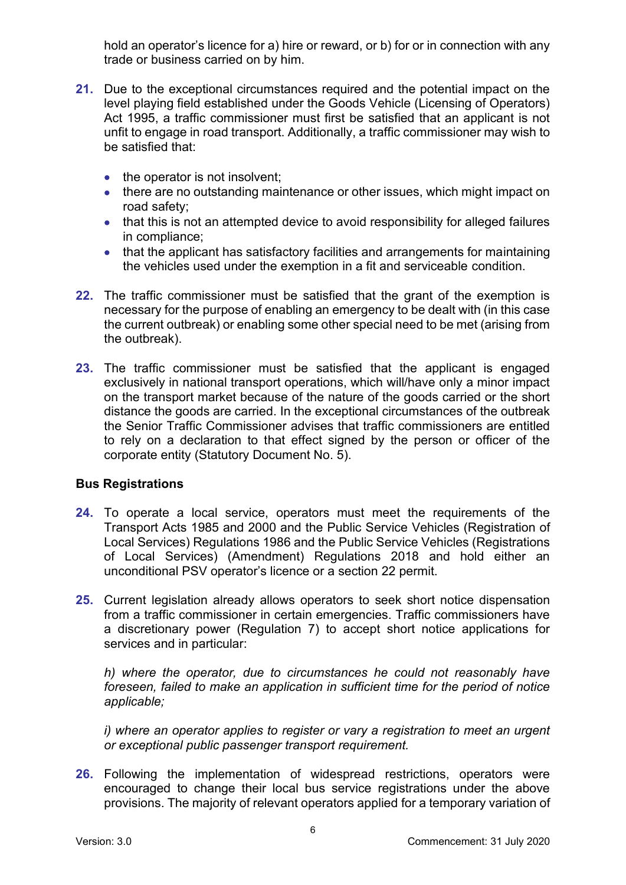hold an operator's licence for a) hire or reward, or b) for or in connection with any trade or business carried on by him.

- **21.** Due to the exceptional circumstances required and the potential impact on the level playing field established under the Goods Vehicle (Licensing of Operators) Act 1995, a traffic commissioner must first be satisfied that an applicant is not unfit to engage in road transport. Additionally, a traffic commissioner may wish to be satisfied that:
	- the operator is not insolvent;
	- there are no outstanding maintenance or other issues, which might impact on road safety;
	- that this is not an attempted device to avoid responsibility for alleged failures in compliance;
	- that the applicant has satisfactory facilities and arrangements for maintaining the vehicles used under the exemption in a fit and serviceable condition.
- **22.** The traffic commissioner must be satisfied that the grant of the exemption is necessary for the purpose of enabling an emergency to be dealt with (in this case the current outbreak) or enabling some other special need to be met (arising from the outbreak).
- **23.** The traffic commissioner must be satisfied that the applicant is engaged exclusively in national transport operations, which will/have only a minor impact on the transport market because of the nature of the goods carried or the short distance the goods are carried. In the exceptional circumstances of the outbreak the Senior Traffic Commissioner advises that traffic commissioners are entitled to rely on a declaration to that effect signed by the person or officer of the corporate entity (Statutory Document No. 5).

# **Bus Registrations**

- **24.** To operate a local service, operators must meet the requirements of the Transport Acts 1985 and 2000 and the Public Service Vehicles (Registration of Local Services) Regulations 1986 and the Public Service Vehicles (Registrations of Local Services) (Amendment) Regulations 2018 and hold either an unconditional PSV operator's licence or a section 22 permit.
- **25.** Current legislation already allows operators to seek short notice dispensation from a traffic commissioner in certain emergencies. Traffic commissioners have a discretionary power (Regulation 7) to accept short notice applications for services and in particular:

*h) where the operator, due to circumstances he could not reasonably have foreseen, failed to make an application in sufficient time for the period of notice applicable;* 

*i)* where an operator applies to register or vary a registration to meet an urgent *or exceptional public passenger transport requirement.* 

**26.** Following the implementation of widespread restrictions, operators were encouraged to change their local bus service registrations under the above provisions. The majority of relevant operators applied for a temporary variation of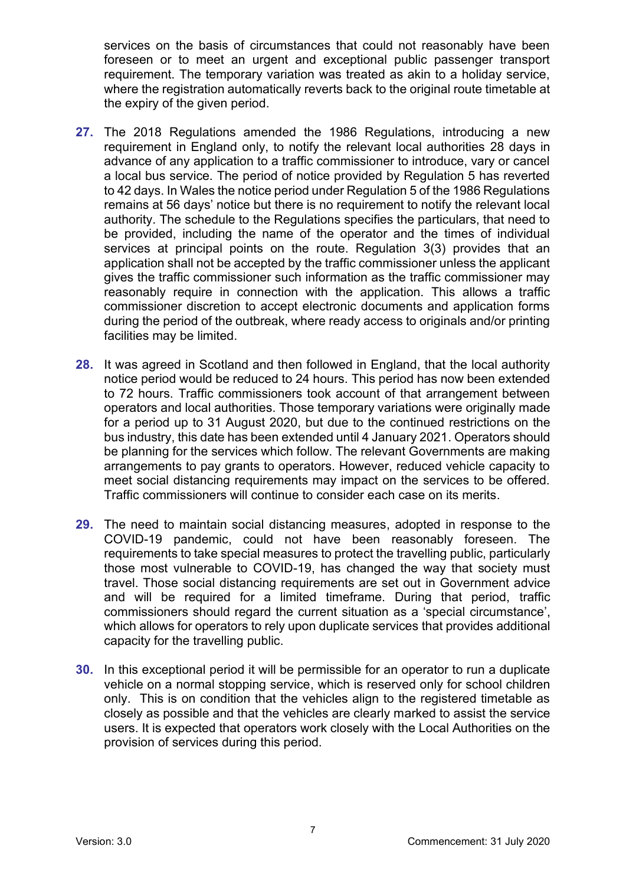services on the basis of circumstances that could not reasonably have been foreseen or to meet an urgent and exceptional public passenger transport requirement. The temporary variation was treated as akin to a holiday service, where the registration automatically reverts back to the original route timetable at the expiry of the given period.

- **27.** The 2018 Regulations amended the 1986 Regulations, introducing a new requirement in England only, to notify the relevant local authorities 28 days in advance of any application to a traffic commissioner to introduce, vary or cancel a local bus service. The period of notice provided by Regulation 5 has reverted to 42 days. In Wales the notice period under Regulation 5 of the 1986 Regulations remains at 56 days' notice but there is no requirement to notify the relevant local authority. The schedule to the Regulations specifies the particulars, that need to be provided, including the name of the operator and the times of individual services at principal points on the route. Regulation 3(3) provides that an application shall not be accepted by the traffic commissioner unless the applicant gives the traffic commissioner such information as the traffic commissioner may reasonably require in connection with the application. This allows a traffic commissioner discretion to accept electronic documents and application forms during the period of the outbreak, where ready access to originals and/or printing facilities may be limited.
- **28.** It was agreed in Scotland and then followed in England, that the local authority notice period would be reduced to 24 hours. This period has now been extended to 72 hours. Traffic commissioners took account of that arrangement between operators and local authorities. Those temporary variations were originally made for a period up to 31 August 2020, but due to the continued restrictions on the bus industry, this date has been extended until 4 January 2021. Operators should be planning for the services which follow. The relevant Governments are making arrangements to pay grants to operators. However, reduced vehicle capacity to meet social distancing requirements may impact on the services to be offered. Traffic commissioners will continue to consider each case on its merits.
- **29.** The need to maintain social distancing measures, adopted in response to the COVID-19 pandemic, could not have been reasonably foreseen. The requirements to take special measures to protect the travelling public, particularly those most vulnerable to COVID-19, has changed the way that society must travel. Those social distancing requirements are set out in Government advice and will be required for a limited timeframe. During that period, traffic commissioners should regard the current situation as a 'special circumstance', which allows for operators to rely upon duplicate services that provides additional capacity for the travelling public.
- **30.** In this exceptional period it will be permissible for an operator to run a duplicate vehicle on a normal stopping service, which is reserved only for school children only. This is on condition that the vehicles align to the registered timetable as closely as possible and that the vehicles are clearly marked to assist the service users. It is expected that operators work closely with the Local Authorities on the provision of services during this period.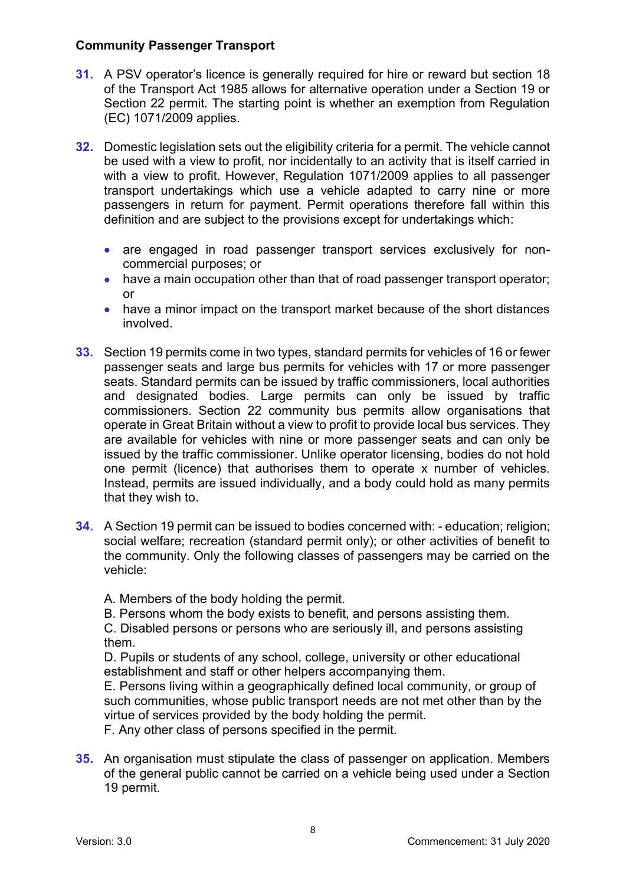#### **Community Passenger Transport**

- **31.** A PSV operator's licence is generally required for hire or reward but section 18 of the Transport Act 1985 allows for alternative operation under a Section 19 or Section 22 permit. The starting point is whether an exemption from Regulation (EC) 1071/2009 applies.
- **32.** Domestic legislation sets out the eligibility criteria for a permit. The vehicle cannot be used with a view to profit, nor incidentally to an activity that is itself carried in with a view to profit. However, Regulation 1071/2009 applies to all passenger transport undertakings which use a vehicle adapted to carry nine or more passengers in return for payment. Permit operations therefore fall within this definition and are subject to the provisions except for undertakings which:
	- are engaged in road passenger transport services exclusively for noncommercial purposes; or
	- have a main occupation other than that of road passenger transport operator; or
	- have a minor impact on the transport market because of the short distances involved.
- **33.** Section 19 permits come in two types, standard permits for vehicles of 16 or fewer passenger seats and large bus permits for vehicles with 17 or more passenger seats. Standard permits can be issued by traffic commissioners, local authorities and designated bodies. Large permits can only be issued by traffic commissioners. Section 22 community bus permits allow organisations that operate in Great Britain without a view to profit to provide local bus services. They are available for vehicles with nine or more passenger seats and can only be issued by the traffic commissioner. Unlike operator licensing, bodies do not hold one permit (licence) that authorises them to operate x number of vehicles. Instead, permits are issued individually, and a body could hold as many permits that they wish to.
- **34.** A Section 19 permit can be issued to bodies concerned with: education; religion; social welfare; recreation (standard permit only); or other activities of benefit to the community. Only the following classes of passengers may be carried on the vehicle:

A. Members of the body holding the permit.

B. Persons whom the body exists to benefit, and persons assisting them.

C. Disabled persons or persons who are seriously ill, and persons assisting them.

D. Pupils or students of any school, college, university or other educational establishment and staff or other helpers accompanying them.

E. Persons living within a geographically defined local community, or group of such communities, whose public transport needs are not met other than by the virtue of services provided by the body holding the permit.

F. Any other class of persons specified in the permit.

**35.** An organisation must stipulate the class of passenger on application. Members of the general public cannot be carried on a vehicle being used under a Section 19 permit.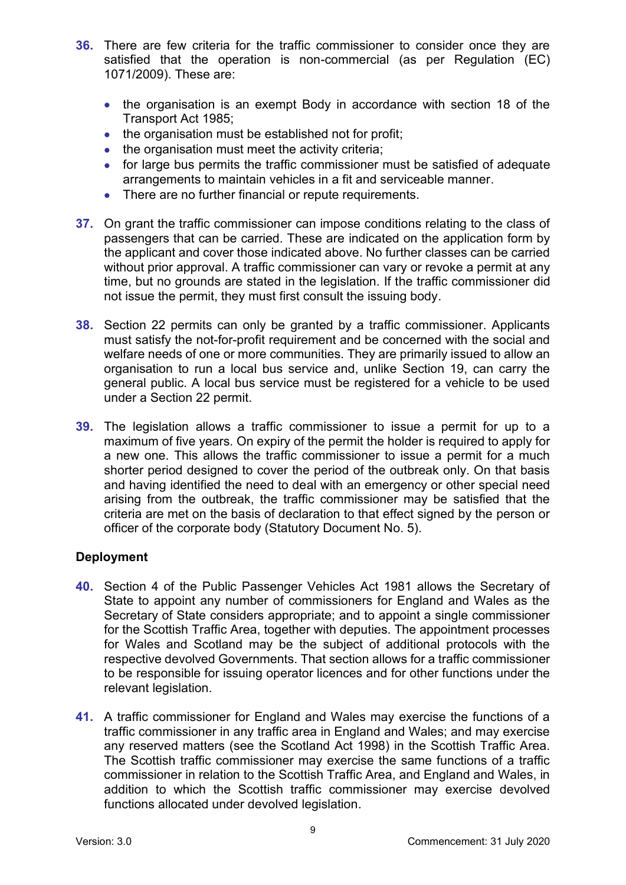- **36.** There are few criteria for the traffic commissioner to consider once they are satisfied that the operation is non-commercial (as per Regulation (EC) 1071/2009). These are:
	- the organisation is an exempt Body in accordance with section 18 of the Transport Act 1985;
	- the organisation must be established not for profit;
	- the organisation must meet the activity criteria;
	- for large bus permits the traffic commissioner must be satisfied of adequate arrangements to maintain vehicles in a fit and serviceable manner.
	- There are no further financial or repute requirements.
- **37.** On grant the traffic commissioner can impose conditions relating to the class of passengers that can be carried. These are indicated on the application form by the applicant and cover those indicated above. No further classes can be carried without prior approval. A traffic commissioner can vary or revoke a permit at any time, but no grounds are stated in the legislation. If the traffic commissioner did not issue the permit, they must first consult the issuing body.
- **38.** Section 22 permits can only be granted by a traffic commissioner. Applicants must satisfy the not-for-profit requirement and be concerned with the social and welfare needs of one or more communities. They are primarily issued to allow an organisation to run a local bus service and, unlike Section 19, can carry the general public. A local bus service must be registered for a vehicle to be used under a Section 22 permit.
- **39.** The legislation allows a traffic commissioner to issue a permit for up to a maximum of five years. On expiry of the permit the holder is required to apply for a new one. This allows the traffic commissioner to issue a permit for a much shorter period designed to cover the period of the outbreak only. On that basis and having identified the need to deal with an emergency or other special need arising from the outbreak, the traffic commissioner may be satisfied that the criteria are met on the basis of declaration to that effect signed by the person or officer of the corporate body (Statutory Document No. 5).

#### **Deployment**

- **40.** Section 4 of the Public Passenger Vehicles Act 1981 allows the Secretary of State to appoint any number of commissioners for England and Wales as the Secretary of State considers appropriate; and to appoint a single commissioner for the Scottish Traffic Area, together with deputies. The appointment processes for Wales and Scotland may be the subject of additional protocols with the respective devolved Governments. That section allows for a traffic commissioner to be responsible for issuing operator licences and for other functions under the relevant legislation.
- **41.** A traffic commissioner for England and Wales may exercise the functions of a traffic commissioner in any traffic area in England and Wales; and may exercise any reserved matters (see the Scotland Act 1998) in the Scottish Traffic Area. The Scottish traffic commissioner may exercise the same functions of a traffic commissioner in relation to the Scottish Traffic Area, and England and Wales, in addition to which the Scottish traffic commissioner may exercise devolved functions allocated under devolved legislation.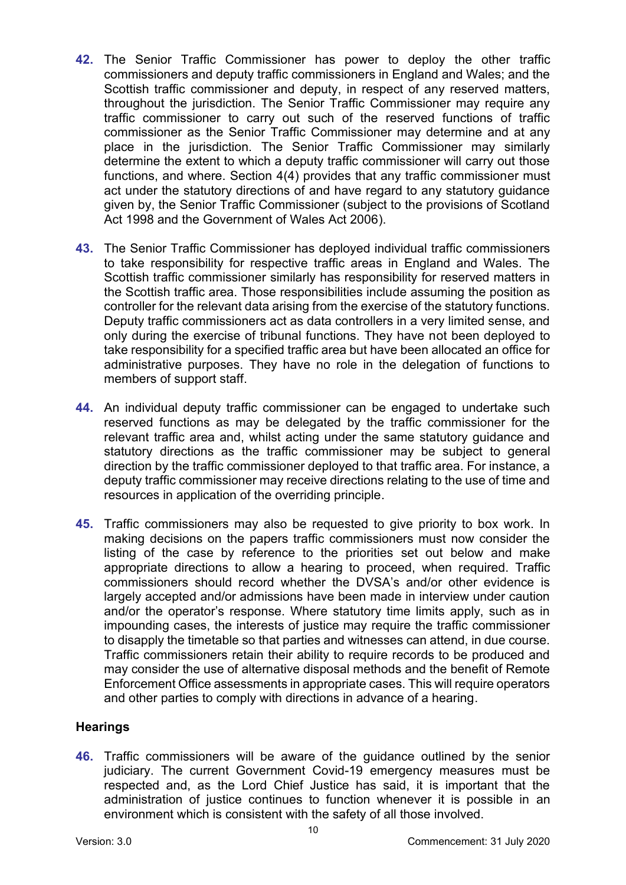- **42.** The Senior Traffic Commissioner has power to deploy the other traffic commissioners and deputy traffic commissioners in England and Wales; and the Scottish traffic commissioner and deputy, in respect of any reserved matters, throughout the jurisdiction. The Senior Traffic Commissioner may require any traffic commissioner to carry out such of the reserved functions of traffic commissioner as the Senior Traffic Commissioner may determine and at any place in the jurisdiction. The Senior Traffic Commissioner may similarly determine the extent to which a deputy traffic commissioner will carry out those functions, and where. Section 4(4) provides that any traffic commissioner must act under the statutory directions of and have regard to any statutory guidance given by, the Senior Traffic Commissioner (subject to the provisions of Scotland Act 1998 and the Government of Wales Act 2006).
- **43.** The Senior Traffic Commissioner has deployed individual traffic commissioners to take responsibility for respective traffic areas in England and Wales. The Scottish traffic commissioner similarly has responsibility for reserved matters in the Scottish traffic area. Those responsibilities include assuming the position as controller for the relevant data arising from the exercise of the statutory functions. Deputy traffic commissioners act as data controllers in a very limited sense, and only during the exercise of tribunal functions. They have not been deployed to take responsibility for a specified traffic area but have been allocated an office for administrative purposes. They have no role in the delegation of functions to members of support staff.
- **44.** An individual deputy traffic commissioner can be engaged to undertake such reserved functions as may be delegated by the traffic commissioner for the relevant traffic area and, whilst acting under the same statutory guidance and statutory directions as the traffic commissioner may be subject to general direction by the traffic commissioner deployed to that traffic area. For instance, a deputy traffic commissioner may receive directions relating to the use of time and resources in application of the overriding principle.
- **45.** Traffic commissioners may also be requested to give priority to box work. In making decisions on the papers traffic commissioners must now consider the listing of the case by reference to the priorities set out below and make appropriate directions to allow a hearing to proceed, when required. Traffic commissioners should record whether the DVSA's and/or other evidence is largely accepted and/or admissions have been made in interview under caution and/or the operator's response. Where statutory time limits apply, such as in impounding cases, the interests of justice may require the traffic commissioner to disapply the timetable so that parties and witnesses can attend, in due course. Traffic commissioners retain their ability to require records to be produced and may consider the use of alternative disposal methods and the benefit of Remote Enforcement Office assessments in appropriate cases. This will require operators and other parties to comply with directions in advance of a hearing.

#### **Hearings**

**46.** Traffic commissioners will be aware of the guidance outlined by the senior judiciary. The current Government Covid-19 emergency measures must be respected and, as the Lord Chief Justice has said, it is important that the administration of justice continues to function whenever it is possible in an environment which is consistent with the safety of all those involved.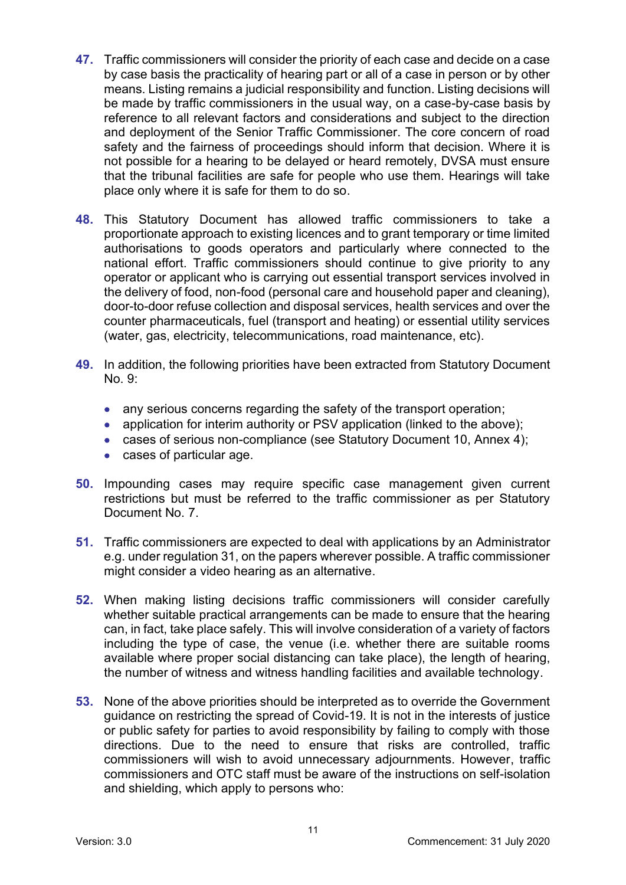- **47.** Traffic commissioners will consider the priority of each case and decide on a case by case basis the practicality of hearing part or all of a case in person or by other means. Listing remains a judicial responsibility and function. Listing decisions will be made by traffic commissioners in the usual way, on a case-by-case basis by reference to all relevant factors and considerations and subject to the direction and deployment of the Senior Traffic Commissioner. The core concern of road safety and the fairness of proceedings should inform that decision. Where it is not possible for a hearing to be delayed or heard remotely, DVSA must ensure that the tribunal facilities are safe for people who use them. Hearings will take place only where it is safe for them to do so.
- **48.** This Statutory Document has allowed traffic commissioners to take a proportionate approach to existing licences and to grant temporary or time limited authorisations to goods operators and particularly where connected to the national effort. Traffic commissioners should continue to give priority to any operator or applicant who is carrying out essential transport services involved in the delivery of food, non-food (personal care and household paper and cleaning), door-to-door refuse collection and disposal services, health services and over the counter pharmaceuticals, fuel (transport and heating) or essential utility services (water, gas, electricity, telecommunications, road maintenance, etc).
- **49.** In addition, the following priorities have been extracted from Statutory Document  $No. 9$ 
	- any serious concerns regarding the safety of the transport operation:
	- application for interim authority or PSV application (linked to the above);
	- cases of serious non-compliance (see Statutory Document 10, Annex 4):
	- cases of particular age.
- **50.** Impounding cases may require specific case management given current restrictions but must be referred to the traffic commissioner as per Statutory Document No. 7.
- **51.** Traffic commissioners are expected to deal with applications by an Administrator e.g. under regulation 31, on the papers wherever possible. A traffic commissioner might consider a video hearing as an alternative.
- **52.** When making listing decisions traffic commissioners will consider carefully whether suitable practical arrangements can be made to ensure that the hearing can, in fact, take place safely. This will involve consideration of a variety of factors including the type of case, the venue (i.e. whether there are suitable rooms available where proper social distancing can take place), the length of hearing, the number of witness and witness handling facilities and available technology.
- **53.** None of the above priorities should be interpreted as to override the Government guidance on restricting the spread of Covid-19. It is not in the interests of justice or public safety for parties to avoid responsibility by failing to comply with those directions. Due to the need to ensure that risks are controlled, traffic commissioners will wish to avoid unnecessary adjournments. However, traffic commissioners and OTC staff must be aware of the instructions on self-isolation and shielding, which apply to persons who: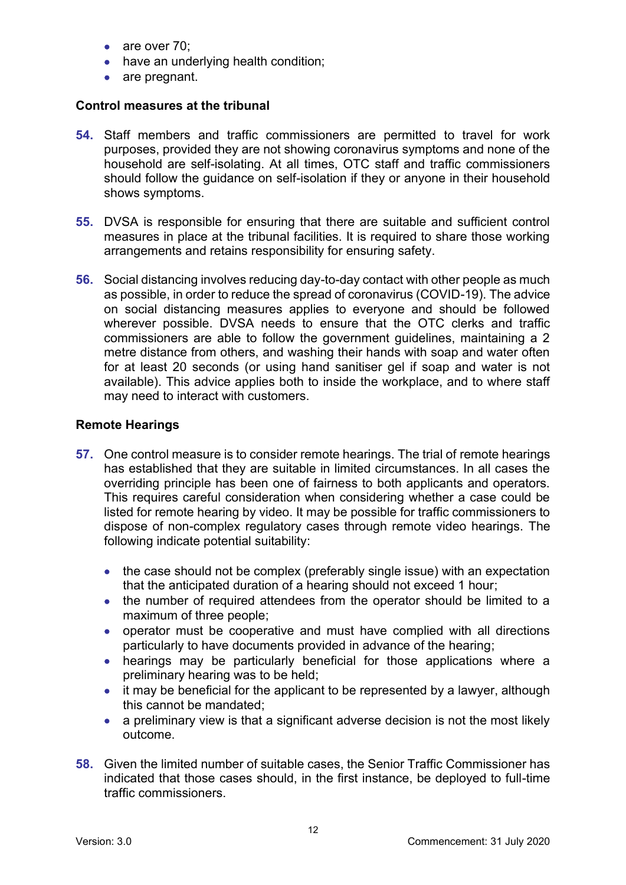- are over 70;
- have an underlying health condition;
- are pregnant.

#### **Control measures at the tribunal**

- **54.** Staff members and traffic commissioners are permitted to travel for work purposes, provided they are not showing coronavirus symptoms and none of the household are self-isolating. At all times, OTC staff and traffic commissioners should follow the guidance on self-isolation if they or anyone in their household shows symptoms.
- **55.** DVSA is responsible for ensuring that there are suitable and sufficient control measures in place at the tribunal facilities. It is required to share those working arrangements and retains responsibility for ensuring safety.
- **56.** Social distancing involves reducing day-to-day contact with other people as much as possible, in order to reduce the spread of coronavirus (COVID-19). The advice on social distancing measures applies to everyone and should be followed wherever possible. DVSA needs to ensure that the OTC clerks and traffic commissioners are able to follow the government guidelines, maintaining a 2 metre distance from others, and washing their hands with soap and water often for at least 20 seconds (or using hand sanitiser gel if soap and water is not available). This advice applies both to inside the workplace, and to where staff may need to interact with customers.

#### **Remote Hearings**

- **57.** One control measure is to consider remote hearings. The trial of remote hearings has established that they are suitable in limited circumstances. In all cases the overriding principle has been one of fairness to both applicants and operators. This requires careful consideration when considering whether a case could be listed for remote hearing by video. It may be possible for traffic commissioners to dispose of non-complex regulatory cases through remote video hearings. The following indicate potential suitability:
	- the case should not be complex (preferably single issue) with an expectation that the anticipated duration of a hearing should not exceed 1 hour;
	- the number of required attendees from the operator should be limited to a maximum of three people;
	- operator must be cooperative and must have complied with all directions particularly to have documents provided in advance of the hearing;
	- hearings may be particularly beneficial for those applications where a preliminary hearing was to be held;
	- it may be beneficial for the applicant to be represented by a lawyer, although this cannot be mandated;
	- a preliminary view is that a significant adverse decision is not the most likely outcome.
- **58.** Given the limited number of suitable cases, the Senior Traffic Commissioner has indicated that those cases should, in the first instance, be deployed to full-time traffic commissioners.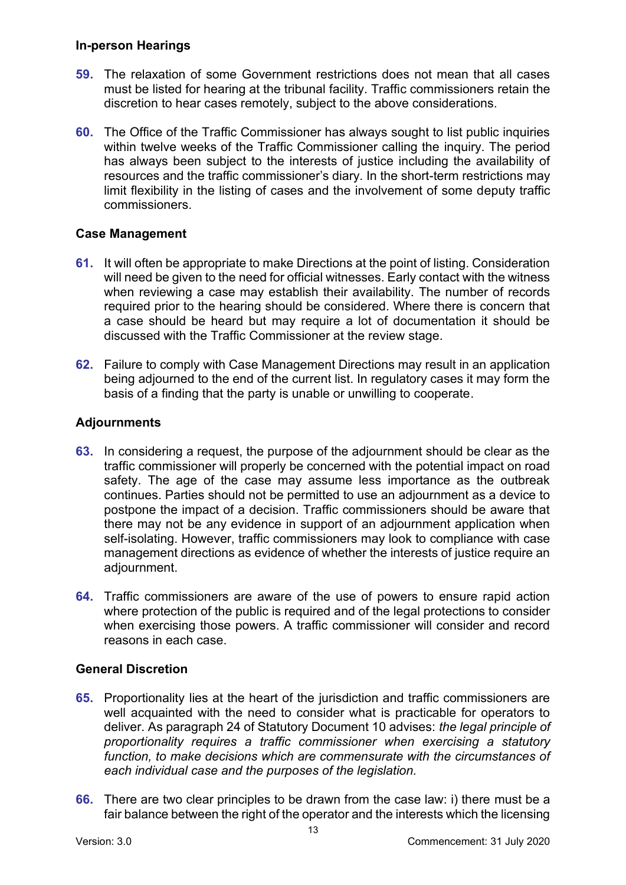#### **In-person Hearings**

- **59.** The relaxation of some Government restrictions does not mean that all cases must be listed for hearing at the tribunal facility. Traffic commissioners retain the discretion to hear cases remotely, subject to the above considerations.
- **60.** The Office of the Traffic Commissioner has always sought to list public inquiries within twelve weeks of the Traffic Commissioner calling the inquiry. The period has always been subject to the interests of justice including the availability of resources and the traffic commissioner's diary. In the short-term restrictions may limit flexibility in the listing of cases and the involvement of some deputy traffic commissioners.

# **Case Management**

- **61.** It will often be appropriate to make Directions at the point of listing. Consideration will need be given to the need for official witnesses. Early contact with the witness when reviewing a case may establish their availability. The number of records required prior to the hearing should be considered. Where there is concern that a case should be heard but may require a lot of documentation it should be discussed with the Traffic Commissioner at the review stage.
- **62.** Failure to comply with Case Management Directions may result in an application being adjourned to the end of the current list. In regulatory cases it may form the basis of a finding that the party is unable or unwilling to cooperate.

# **Adjournments**

- **63.** In considering a request, the purpose of the adjournment should be clear as the traffic commissioner will properly be concerned with the potential impact on road safety. The age of the case may assume less importance as the outbreak continues. Parties should not be permitted to use an adjournment as a device to postpone the impact of a decision. Traffic commissioners should be aware that there may not be any evidence in support of an adjournment application when self-isolating. However, traffic commissioners may look to compliance with case management directions as evidence of whether the interests of justice require an adjournment.
- **64.** Traffic commissioners are aware of the use of powers to ensure rapid action where protection of the public is required and of the legal protections to consider when exercising those powers. A traffic commissioner will consider and record reasons in each case.

# **General Discretion**

- **65.** Proportionality lies at the heart of the jurisdiction and traffic commissioners are well acquainted with the need to consider what is practicable for operators to deliver. As paragraph 24 of Statutory Document 10 advises: *the legal principle of proportionality requires a traffic commissioner when exercising a statutory function, to make decisions which are commensurate with the circumstances of each individual case and the purposes of the legislation.*
- **66.** There are two clear principles to be drawn from the case law: i) there must be a fair balance between the right of the operator and the interests which the licensing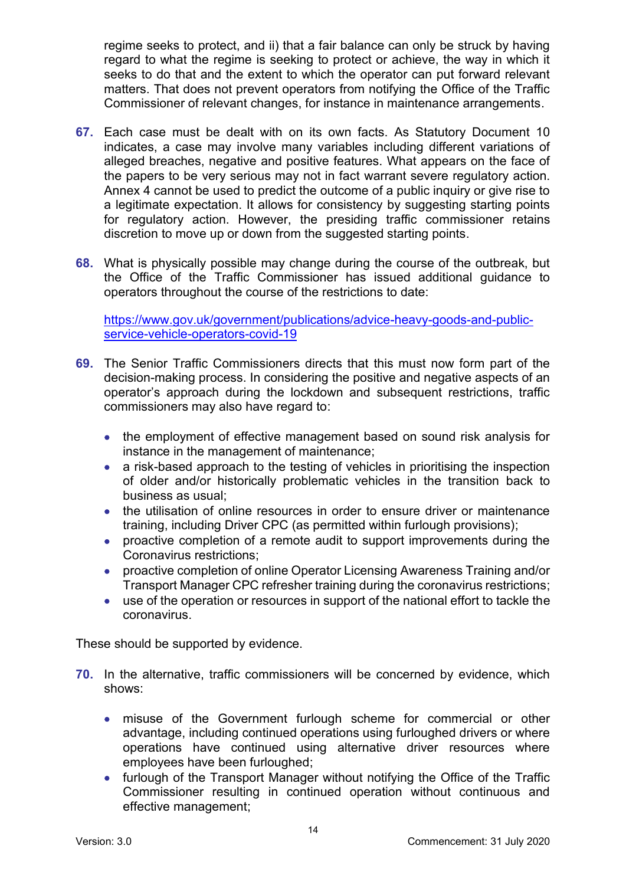regime seeks to protect, and ii) that a fair balance can only be struck by having regard to what the regime is seeking to protect or achieve, the way in which it seeks to do that and the extent to which the operator can put forward relevant matters. That does not prevent operators from notifying the Office of the Traffic Commissioner of relevant changes, for instance in maintenance arrangements.

- **67.** Each case must be dealt with on its own facts. As Statutory Document 10 indicates, a case may involve many variables including different variations of alleged breaches, negative and positive features. What appears on the face of the papers to be very serious may not in fact warrant severe regulatory action. Annex 4 cannot be used to predict the outcome of a public inquiry or give rise to a legitimate expectation. It allows for consistency by suggesting starting points for regulatory action. However, the presiding traffic commissioner retains discretion to move up or down from the suggested starting points.
- **68.** What is physically possible may change during the course of the outbreak, but the Office of the Traffic Commissioner has issued additional guidance to operators throughout the course of the restrictions to date:

[https://www.gov.uk/government/publications/advice-heavy-goods-and-public](https://www.gov.uk/government/publications/advice-heavy-goods-and-public-service-vehicle-operators-covid-19)[service-vehicle-operators-covid-19](https://www.gov.uk/government/publications/advice-heavy-goods-and-public-service-vehicle-operators-covid-19)

- **69.** The Senior Traffic Commissioners directs that this must now form part of the decision-making process. In considering the positive and negative aspects of an operator's approach during the lockdown and subsequent restrictions, traffic commissioners may also have regard to:
	- the employment of effective management based on sound risk analysis for instance in the management of maintenance;
	- a risk-based approach to the testing of vehicles in prioritising the inspection of older and/or historically problematic vehicles in the transition back to business as usual;
	- the utilisation of online resources in order to ensure driver or maintenance training, including Driver CPC (as permitted within furlough provisions);
	- proactive completion of a remote audit to support improvements during the Coronavirus restrictions;
	- proactive completion of online Operator Licensing Awareness Training and/or Transport Manager CPC refresher training during the coronavirus restrictions;
	- use of the operation or resources in support of the national effort to tackle the coronavirus.

These should be supported by evidence.

- **70.** In the alternative, traffic commissioners will be concerned by evidence, which shows:
	- misuse of the Government furlough scheme for commercial or other advantage, including continued operations using furloughed drivers or where operations have continued using alternative driver resources where employees have been furloughed;
	- furlough of the Transport Manager without notifying the Office of the Traffic Commissioner resulting in continued operation without continuous and effective management;